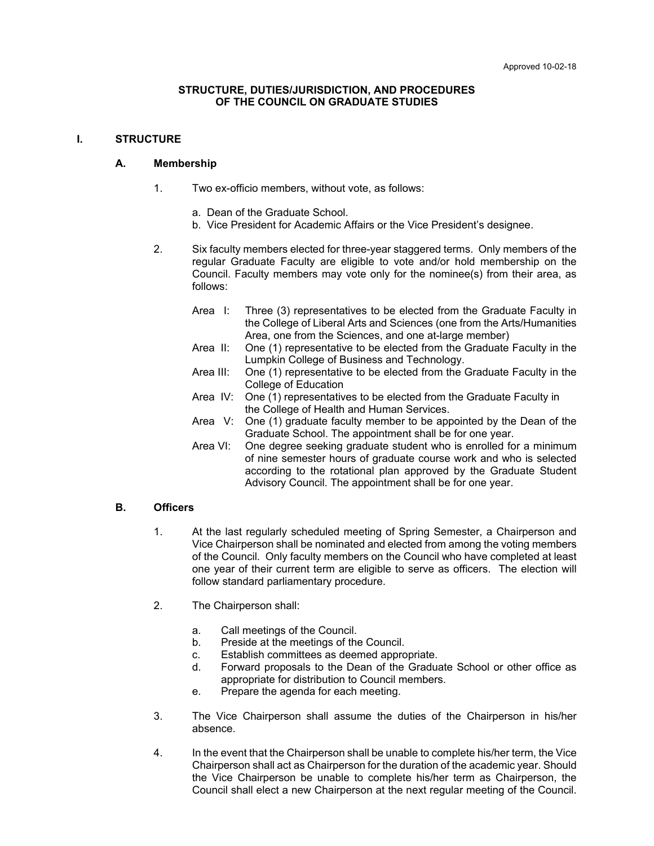#### **STRUCTURE, DUTIES/JURISDICTION, AND PROCEDURES OF THE COUNCIL ON GRADUATE STUDIES**

#### **I. STRUCTURE**

#### **A. Membership**

- 1. Two ex-officio members, without vote, as follows:
	- a. Dean of the Graduate School.
	- b. Vice President for Academic Affairs or the Vice President's designee.
- 2. Six faculty members elected for three-year staggered terms. Only members of the regular Graduate Faculty are eligible to vote and/or hold membership on the Council. Faculty members may vote only for the nominee(s) from their area, as follows:
	- Area I: Three (3) representatives to be elected from the Graduate Faculty in the College of Liberal Arts and Sciences (one from the Arts/Humanities Area, one from the Sciences, and one at-large member)
	- Area II: One (1) representative to be elected from the Graduate Faculty in the Lumpkin College of Business and Technology.
	- Area III: One (1) representative to be elected from the Graduate Faculty in the College of Education
	- Area IV: One (1) representatives to be elected from the Graduate Faculty in the College of Health and Human Services.
	- Area V: One (1) graduate faculty member to be appointed by the Dean of the Graduate School. The appointment shall be for one year.
	- Area VI: One degree seeking graduate student who is enrolled for a minimum of nine semester hours of graduate course work and who is selected according to the rotational plan approved by the Graduate Student Advisory Council. The appointment shall be for one year.

### **B. Officers**

- 1. At the last regularly scheduled meeting of Spring Semester, a Chairperson and Vice Chairperson shall be nominated and elected from among the voting members of the Council. Only faculty members on the Council who have completed at least one year of their current term are eligible to serve as officers. The election will follow standard parliamentary procedure.
- 2. The Chairperson shall:
	- a. Call meetings of the Council.
	- b. Preside at the meetings of the Council.
	- c. Establish committees as deemed appropriate.
	- d. Forward proposals to the Dean of the Graduate School or other office as appropriate for distribution to Council members.
	- e. Prepare the agenda for each meeting.
- 3. The Vice Chairperson shall assume the duties of the Chairperson in his/her absence.
- 4. In the event that the Chairperson shall be unable to complete his/her term, the Vice Chairperson shall act as Chairperson for the duration of the academic year. Should the Vice Chairperson be unable to complete his/her term as Chairperson, the Council shall elect a new Chairperson at the next regular meeting of the Council.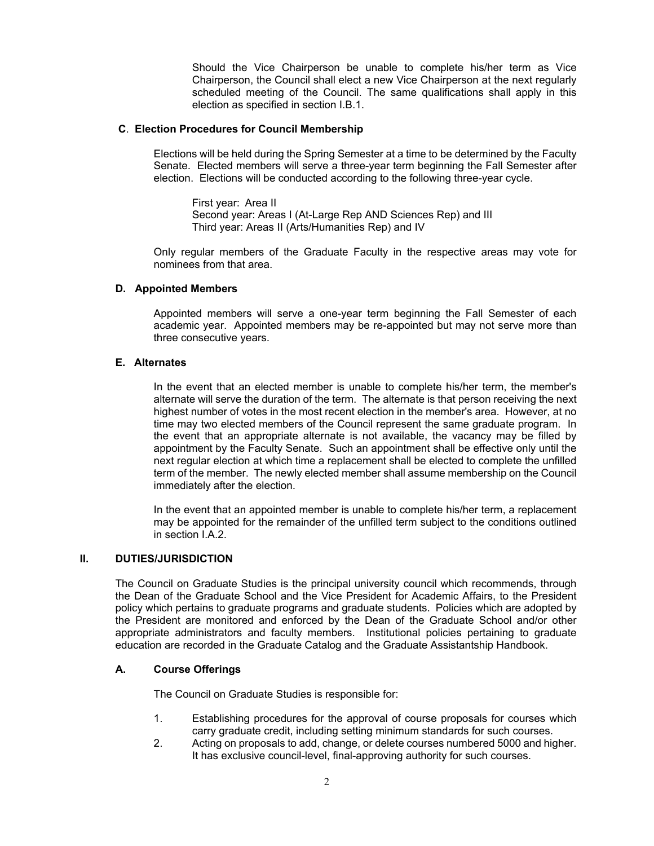Should the Vice Chairperson be unable to complete his/her term as Vice Chairperson, the Council shall elect a new Vice Chairperson at the next regularly scheduled meeting of the Council. The same qualifications shall apply in this election as specified in section I.B.1.

#### **C**. **Election Procedures for Council Membership**

Elections will be held during the Spring Semester at a time to be determined by the Faculty Senate. Elected members will serve a three-year term beginning the Fall Semester after election. Elections will be conducted according to the following three-year cycle.

First year: Area II Second year: Areas I (At-Large Rep AND Sciences Rep) and III Third year: Areas II (Arts/Humanities Rep) and IV

Only regular members of the Graduate Faculty in the respective areas may vote for nominees from that area.

### **D. Appointed Members**

Appointed members will serve a one-year term beginning the Fall Semester of each academic year. Appointed members may be re-appointed but may not serve more than three consecutive years.

#### **E. Alternates**

In the event that an elected member is unable to complete his/her term, the member's alternate will serve the duration of the term. The alternate is that person receiving the next highest number of votes in the most recent election in the member's area. However, at no time may two elected members of the Council represent the same graduate program. In the event that an appropriate alternate is not available, the vacancy may be filled by appointment by the Faculty Senate. Such an appointment shall be effective only until the next regular election at which time a replacement shall be elected to complete the unfilled term of the member. The newly elected member shall assume membership on the Council immediately after the election.

In the event that an appointed member is unable to complete his/her term, a replacement may be appointed for the remainder of the unfilled term subject to the conditions outlined in section I.A.2.

### **II. DUTIES/JURISDICTION**

The Council on Graduate Studies is the principal university council which recommends, through the Dean of the Graduate School and the Vice President for Academic Affairs, to the President policy which pertains to graduate programs and graduate students. Policies which are adopted by the President are monitored and enforced by the Dean of the Graduate School and/or other appropriate administrators and faculty members. Institutional policies pertaining to graduate education are recorded in the Graduate Catalog and the Graduate Assistantship Handbook.

### **A. Course Offerings**

The Council on Graduate Studies is responsible for:

- 1. Establishing procedures for the approval of course proposals for courses which carry graduate credit, including setting minimum standards for such courses.
- 2. Acting on proposals to add, change, or delete courses numbered 5000 and higher. It has exclusive council-level, final-approving authority for such courses.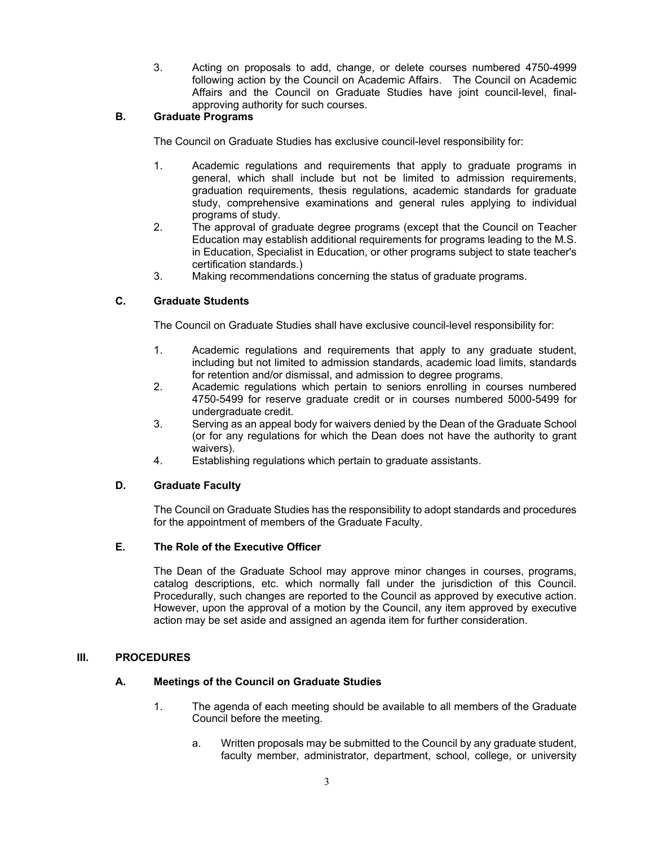3. Acting on proposals to add, change, or delete courses numbered 4750-4999 following action by the Council on Academic Affairs. The Council on Academic Affairs and the Council on Graduate Studies have joint council-level, finalapproving authority for such courses.

## **B. Graduate Programs**

The Council on Graduate Studies has exclusive council-level responsibility for:

- 1. Academic regulations and requirements that apply to graduate programs in general, which shall include but not be limited to admission requirements, graduation requirements, thesis regulations, academic standards for graduate study, comprehensive examinations and general rules applying to individual programs of study.
- 2. The approval of graduate degree programs (except that the Council on Teacher Education may establish additional requirements for programs leading to the M.S. in Education, Specialist in Education, or other programs subject to state teacher's certification standards.)
- 3. Making recommendations concerning the status of graduate programs.

## **C. Graduate Students**

The Council on Graduate Studies shall have exclusive council-level responsibility for:

- 1. Academic regulations and requirements that apply to any graduate student, including but not limited to admission standards, academic load limits, standards for retention and/or dismissal, and admission to degree programs.
- 2. Academic regulations which pertain to seniors enrolling in courses numbered 4750-5499 for reserve graduate credit or in courses numbered 5000-5499 for undergraduate credit.
- 3. Serving as an appeal body for waivers denied by the Dean of the Graduate School (or for any regulations for which the Dean does not have the authority to grant waivers).
- 4. Establishing regulations which pertain to graduate assistants.

## **D. Graduate Faculty**

The Council on Graduate Studies has the responsibility to adopt standards and procedures for the appointment of members of the Graduate Faculty.

# **E. The Role of the Executive Officer**

The Dean of the Graduate School may approve minor changes in courses, programs, catalog descriptions, etc. which normally fall under the jurisdiction of this Council. Procedurally, such changes are reported to the Council as approved by executive action. However, upon the approval of a motion by the Council, any item approved by executive action may be set aside and assigned an agenda item for further consideration.

### **III. PROCEDURES**

## **A. Meetings of the Council on Graduate Studies**

- 1. The agenda of each meeting should be available to all members of the Graduate Council before the meeting.
	- a. Written proposals may be submitted to the Council by any graduate student, faculty member, administrator, department, school, college, or university